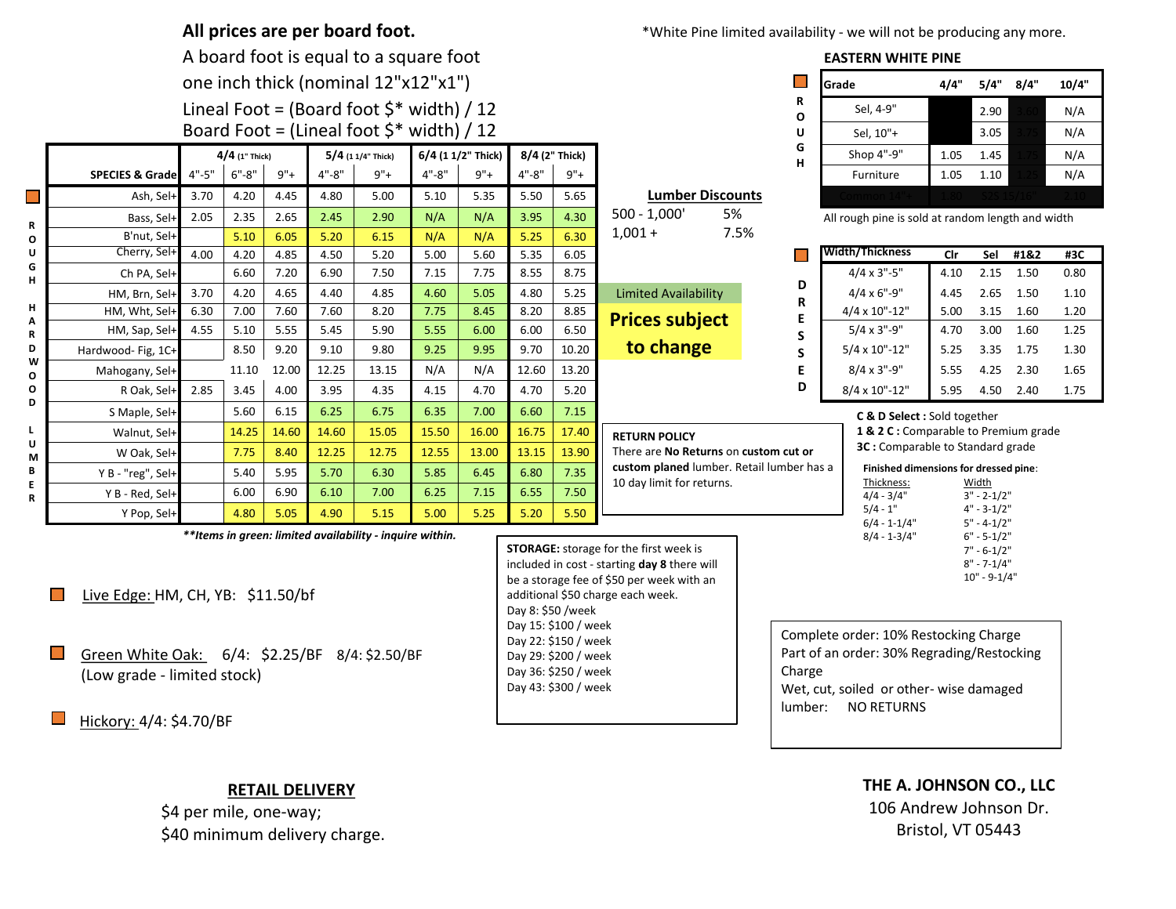|                                                                                               |                                                                                                          |                                        |                  |       |           | All prices are per board foot.              |                    |       |                   |                                                                                                                      | *White Pine limited availability - we will not be producing any more.                                                                                                           |                           |                                                                                                                    |                                                                                                                                                                         |                                  |                                                                       |           |       |  |  |
|-----------------------------------------------------------------------------------------------|----------------------------------------------------------------------------------------------------------|----------------------------------------|------------------|-------|-----------|---------------------------------------------|--------------------|-------|-------------------|----------------------------------------------------------------------------------------------------------------------|---------------------------------------------------------------------------------------------------------------------------------------------------------------------------------|---------------------------|--------------------------------------------------------------------------------------------------------------------|-------------------------------------------------------------------------------------------------------------------------------------------------------------------------|----------------------------------|-----------------------------------------------------------------------|-----------|-------|--|--|
|                                                                                               |                                                                                                          | A board foot is equal to a square foot |                  |       |           |                                             |                    |       |                   |                                                                                                                      |                                                                                                                                                                                 | <b>EASTERN WHITE PINE</b> |                                                                                                                    |                                                                                                                                                                         |                                  |                                                                       |           |       |  |  |
|                                                                                               |                                                                                                          | one inch thick (nominal 12"x12"x1")    |                  |       |           |                                             |                    |       |                   |                                                                                                                      |                                                                                                                                                                                 |                           |                                                                                                                    | Grade                                                                                                                                                                   | 4/4"                             | 5/4"                                                                  | 8/4"      | 10/4" |  |  |
|                                                                                               | Lineal Foot = (Board foot $$^*$ width) / 12                                                              |                                        |                  |       |           |                                             |                    |       |                   |                                                                                                                      |                                                                                                                                                                                 |                           |                                                                                                                    | Sel, 4-9"                                                                                                                                                               |                                  | 2.90                                                                  |           | N/A   |  |  |
|                                                                                               |                                                                                                          |                                        |                  |       |           | Board Foot = (Lineal foot $$^*$ width) / 12 |                    |       |                   |                                                                                                                      |                                                                                                                                                                                 | $\mathbf{o}$<br>U         |                                                                                                                    | Sel, 10"+                                                                                                                                                               |                                  | 3.05                                                                  |           | N/A   |  |  |
|                                                                                               |                                                                                                          |                                        | $4/4$ (1" Thick) |       |           | $5/4$ (1 1/4" Thick)                        | 6/4 (1 1/2" Thick) |       | 8/4 (2" Thick)    |                                                                                                                      |                                                                                                                                                                                 |                           | G                                                                                                                  | Shop 4"-9"                                                                                                                                                              | 1.05                             | 1.45                                                                  |           | N/A   |  |  |
|                                                                                               | <b>SPECIES &amp; Grade</b>                                                                               | $4" - 5"$                              | $6" - 8"$        | $9"+$ | $4" - 8"$ | $9"+$                                       | $4" - 8"$          | $9"+$ | $4" - 8"$         | $9"+$                                                                                                                |                                                                                                                                                                                 | H                         |                                                                                                                    | Furniture                                                                                                                                                               | 1.05                             | 1.10                                                                  |           | N/A   |  |  |
| $\mathcal{L}_{\mathcal{A}}$<br>R<br>O<br>U<br>G<br>н<br>н<br>Α<br>R<br>D<br>W<br>O            | Ash, Sel                                                                                                 | 3.70                                   | 4.20             | 4.45  | 4.80      | 5.00                                        | 5.10               | 5.35  | 5.50              | 5.65                                                                                                                 | <b>Lumber Discounts</b>                                                                                                                                                         |                           |                                                                                                                    |                                                                                                                                                                         |                                  |                                                                       |           |       |  |  |
|                                                                                               | Bass, Sel+                                                                                               | 2.05                                   | 2.35             | 2.65  | 2.45      | 2.90                                        | N/A                | N/A   | 3.95              | 4.30                                                                                                                 | 5%<br>$500 - 1,000'$                                                                                                                                                            |                           |                                                                                                                    | All rough pine is sold at random length and width                                                                                                                       |                                  |                                                                       |           |       |  |  |
|                                                                                               | B'nut, Sel-                                                                                              |                                        | 5.10             | 6.05  | 5.20      | 6.15                                        | N/A                | N/A   | 5.25              | 6.30                                                                                                                 | $1,001 +$                                                                                                                                                                       | 7.5%                      |                                                                                                                    |                                                                                                                                                                         |                                  |                                                                       |           |       |  |  |
|                                                                                               | Cherry, Sel-                                                                                             | 4.00                                   | 4.20             | 4.85  | 4.50      | 5.20                                        | 5.00               | 5.60  | 5.35              | 6.05                                                                                                                 |                                                                                                                                                                                 |                           |                                                                                                                    | <b>Width/Thickness</b>                                                                                                                                                  | Cir                              | Sel                                                                   | #1&2      | #3C   |  |  |
|                                                                                               | Ch PA, Sel+                                                                                              |                                        | 6.60             | 7.20  | 6.90      | 7.50                                        | 7.15               | 7.75  | 8.55              | 8.75                                                                                                                 |                                                                                                                                                                                 | D                         |                                                                                                                    | $4/4 \times 3" - 5"$                                                                                                                                                    | 4.10                             | 2.15                                                                  | 1.50      | 0.80  |  |  |
|                                                                                               | HM, Brn, Sel+                                                                                            | 3.70                                   | 4.20             | 4.65  | 4.40      | 4.85                                        | 4.60               | 5.05  | 4.80              | 5.25                                                                                                                 | <b>Limited Availability</b>                                                                                                                                                     | R<br>E                    |                                                                                                                    | $4/4 \times 6" - 9"$                                                                                                                                                    | 4.45                             | 2.65                                                                  | 1.50      | 1.10  |  |  |
|                                                                                               | HM, Wht, Sel-                                                                                            | 6.30                                   | 7.00             | 7.60  | 7.60      | 8.20                                        | 7.75               | 8.45  | 8.20              | 8.85                                                                                                                 | <b>Prices subject</b>                                                                                                                                                           |                           |                                                                                                                    | 4/4 x 10"-12"                                                                                                                                                           | 5.00                             | 3.15                                                                  | 1.60      | 1.20  |  |  |
|                                                                                               | HM, Sap, Sel-                                                                                            | 4.55                                   | 5.10             | 5.55  | 5.45      | 5.90                                        | 5.55               | 6.00  | 6.00              | 6.50                                                                                                                 |                                                                                                                                                                                 | S                         |                                                                                                                    | $5/4 \times 3" - 9"$                                                                                                                                                    | 4.70                             | 3.00                                                                  | 1.60      | 1.25  |  |  |
|                                                                                               | Hardwood-Fig, 1C+                                                                                        |                                        | 8.50             | 9.20  | 9.10      | 9.80                                        | 9.25               | 9.95  | 9.70              | 10.20                                                                                                                | to change                                                                                                                                                                       | $\sf S$                   |                                                                                                                    | 5/4 x 10"-12"                                                                                                                                                           | 5.25                             |                                                                       | 3.35 1.75 | 1.30  |  |  |
|                                                                                               | Mahogany, Sel+                                                                                           |                                        | 11.10            | 12.00 | 12.25     | 13.15                                       | N/A                | N/A   | 12.60             | 13.20                                                                                                                |                                                                                                                                                                                 | E                         |                                                                                                                    | $8/4 \times 3" - 9"$                                                                                                                                                    | 5.55                             | 4.25                                                                  | 2.30      | 1.65  |  |  |
| O<br>D                                                                                        | R Oak, Sel                                                                                               | 2.85                                   | 3.45             | 4.00  | 3.95      | 4.35                                        | 4.15               | 4.70  | 4.70              | 5.20                                                                                                                 |                                                                                                                                                                                 | D                         |                                                                                                                    | 8/4 x 10"-12"                                                                                                                                                           | 5.95                             | 4.50                                                                  | 2.40      | 1.75  |  |  |
| L.<br>U<br>M<br>B<br>E<br>R                                                                   | S Maple, Sel-                                                                                            |                                        | 5.60             | 6.15  | 6.25      | 6.75                                        | 6.35               | 7.00  | 6.60              | 7.15                                                                                                                 | C & D Select : Sold together                                                                                                                                                    |                           |                                                                                                                    |                                                                                                                                                                         |                                  |                                                                       |           |       |  |  |
|                                                                                               | Walnut, Sel-                                                                                             |                                        | 14.25            | 14.60 | 14.60     | 15.05                                       | 15.50              | 16.00 | 16.75             | 17.40                                                                                                                | <b>RETURN POLICY</b>                                                                                                                                                            |                           | 1 & 2 C : Comparable to Premium grade<br>3C: Comparable to Standard grade<br>Finished dimensions for dressed pine: |                                                                                                                                                                         |                                  |                                                                       |           |       |  |  |
|                                                                                               | W Oak, Sel+                                                                                              |                                        | 7.75             | 8.40  | 12.25     | 12.75                                       | 12.55              | 13.00 | 13.15             | 13.90                                                                                                                | There are No Returns on custom cut or                                                                                                                                           |                           |                                                                                                                    |                                                                                                                                                                         |                                  |                                                                       |           |       |  |  |
|                                                                                               | Y B - "reg", Sel+                                                                                        |                                        | 5.40             | 5.95  | 5.70      | 6.30                                        | 5.85               | 6.45  | 6.80              | 7.35                                                                                                                 | custom planed lumber. Retail lumber has a                                                                                                                                       |                           |                                                                                                                    |                                                                                                                                                                         |                                  |                                                                       |           |       |  |  |
|                                                                                               | Y B - Red, Sel+                                                                                          |                                        | 6.00             | 6.90  | 6.10      | 7.00                                        | 6.25               | 7.15  | 6.55              | 7.50                                                                                                                 | 10 day limit for returns.                                                                                                                                                       |                           |                                                                                                                    | Thickness:<br>Width<br>$4/4 - 3/4"$<br>$3" - 2 - 1/2"$                                                                                                                  |                                  |                                                                       |           |       |  |  |
|                                                                                               | Y Pop, Sel+                                                                                              |                                        | 4.80             | 5.05  | 4.90      | 5.15                                        | 5.00               | 5.25  | 5.20              | 5.50                                                                                                                 |                                                                                                                                                                                 |                           |                                                                                                                    | $5/4 - 1"$<br>$6/4 - 1 - 1/4"$                                                                                                                                          | $4" - 3 - 1/2"$<br>$5" - 4-1/2"$ |                                                                       |           |       |  |  |
| **Items in green: limited availability - inquire within.<br>Live Edge: HM, CH, YB: \$11.50/bf |                                                                                                          |                                        |                  |       |           |                                             |                    |       | Day 8: \$50 /week |                                                                                                                      | <b>STORAGE:</b> storage for the first week is<br>included in cost - starting day 8 there will<br>be a storage fee of \$50 per week with an<br>additional \$50 charge each week. |                           |                                                                                                                    | $8/4 - 1 - 3/4"$                                                                                                                                                        |                                  | $6" - 5 - 1/2"$<br>$7" - 6-1/2"$<br>$8" - 7 - 1/4"$<br>$10" - 9-1/4"$ |           |       |  |  |
|                                                                                               | Green White Oak: 6/4: \$2.25/BF 8/4: \$2.50/BF<br>(Low grade - limited stock)<br>Hickory: 4/4: \$4.70/BF |                                        |                  |       |           |                                             |                    |       |                   | Day 15: \$100 / week<br>Day 22: \$150 / week<br>Day 29: \$200 / week<br>Day 36: \$250 / week<br>Day 43: \$300 / week |                                                                                                                                                                                 |                           |                                                                                                                    | Complete order: 10% Restocking Charge<br>Part of an order: 30% Regrading/Restocking<br>Charge<br>Wet, cut, soiled or other-wise damaged<br><b>NO RETURNS</b><br>lumber: |                                  |                                                                       |           |       |  |  |
| THE A. JOHNSON CO., LLC<br><b>RETAIL DELIVERY</b>                                             |                                                                                                          |                                        |                  |       |           |                                             |                    |       |                   |                                                                                                                      |                                                                                                                                                                                 |                           |                                                                                                                    |                                                                                                                                                                         |                                  |                                                                       |           |       |  |  |

\$4 per mile, one-way; \$40 minimum delivery charge. 106 Andrew Johnson Dr. Bristol, VT 05443